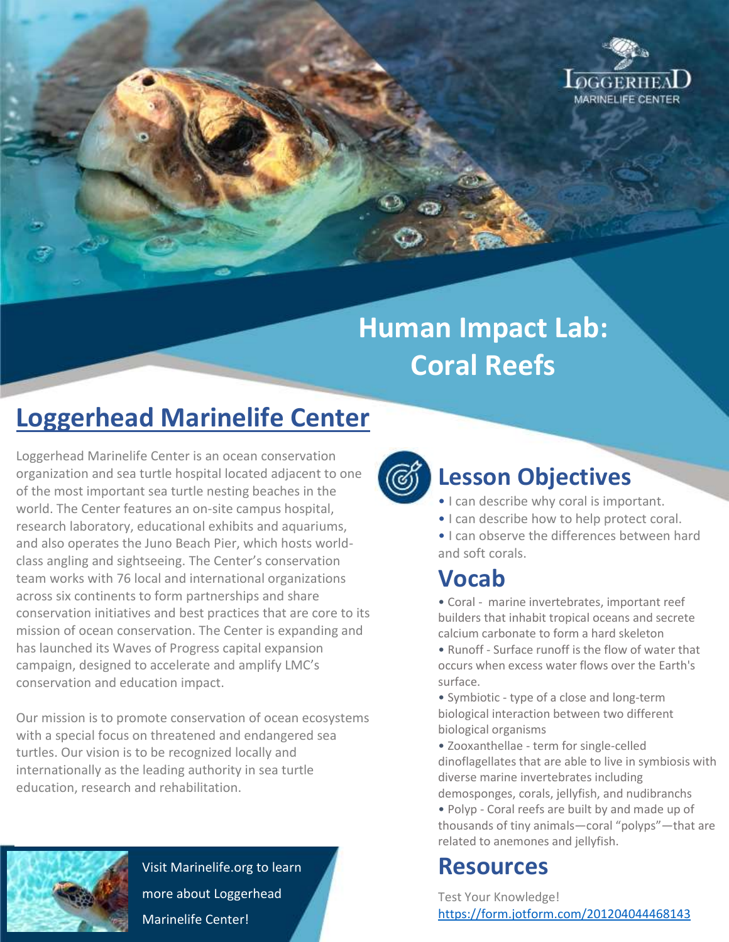

# **Human Impact Lab: Coral Reefs**

# **Loggerhead Marinelife Center**

Loggerhead Marinelife Center is an ocean conservation organization and sea turtle hospital located adjacent to one of the most important sea turtle nesting beaches in the world. The Center features an on-site campus hospital, research laboratory, educational exhibits and aquariums, and also operates the Juno Beach Pier, which hosts worldclass angling and sightseeing. The Center's conservation team works with 76 local and international organizations across six continents to form partnerships and share conservation initiatives and best practices that are core to its mission of ocean conservation. The Center is expanding and has launched its Waves of Progress capital expansion campaign, designed to accelerate and amplify LMC's conservation and education impact.

Our mission is to promote conservation of ocean ecosystems with a special focus on threatened and endangered sea turtles. Our vision is to be recognized locally and internationally as the leading authority in sea turtle education, research and rehabilitation.



Visit Marinelife.org to learn more about Loggerhead Marinelife Center!



# **Lesson Objectives**

- I can describe why coral is important.
- I can describe how to help protect coral.
- I can observe the differences between hard and soft corals.

#### **Vocab**

• Coral - marine invertebrates, important reef builders that inhabit tropical oceans and secrete calcium carbonate to form a hard skeleton

• Runoff - Surface runoff is the flow of water that occurs when excess water flows over the Earth's surface.

• Symbiotic - type of a close and long-term biological interaction between two different biological organisms

• Zooxanthellae - term for single-celled dinoflagellates that are able to live in symbiosis with diverse marine invertebrates including demosponges, corals, jellyfish, and nudibranchs

• Polyp - Coral reefs are built by and made up of thousands of tiny animals—coral "polyps"—that are related to anemones and jellyfish.

### **Resources**

Test Your Knowledge! <https://form.jotform.com/201204044468143>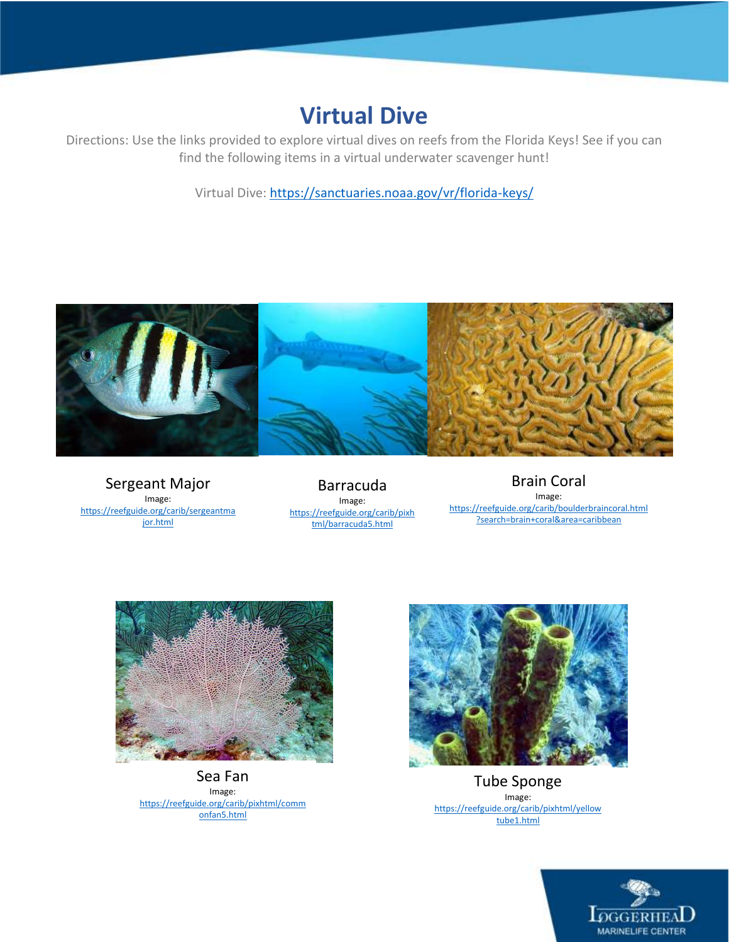#### **Virtual Dive**

Directions: Use the links provided to explore virtual dives on reefs from the Florida Keys! See if you can find the following items in a virtual underwater scavenger hunt!

Virtual Dive[: https://sanctuaries.noaa.gov/vr/florida-keys/](https://sanctuaries.noaa.gov/vr/florida-keys/)



Sergeant Major Image: [https://reefguide.org/carib/sergeantma](https://reefguide.org/carib/sergeantmajor.html) [jor.html](https://reefguide.org/carib/sergeantmajor.html)

Barracuda Image: [https://reefguide.org/carib/pixh](https://reefguide.org/carib/pixhtml/barracuda5.html) [tml/barracuda5.html](https://reefguide.org/carib/pixhtml/barracuda5.html)

Brain Coral Image: [https://reefguide.org/carib/boulderbraincoral.html](https://reefguide.org/carib/boulderbraincoral.html?search=brain+coral&area=caribbean) [?search=brain+coral&area=caribbean](https://reefguide.org/carib/boulderbraincoral.html?search=brain+coral&area=caribbean)



Sea Fan Image: [https://reefguide.org/carib/pixhtml/comm](https://reefguide.org/carib/pixhtml/commonfan5.html) [onfan5.html](https://reefguide.org/carib/pixhtml/commonfan5.html)



Tube Sponge Image: [https://reefguide.org/carib/pixhtml/yellow](https://reefguide.org/carib/pixhtml/yellowtube1.html) [tube1.html](https://reefguide.org/carib/pixhtml/yellowtube1.html)